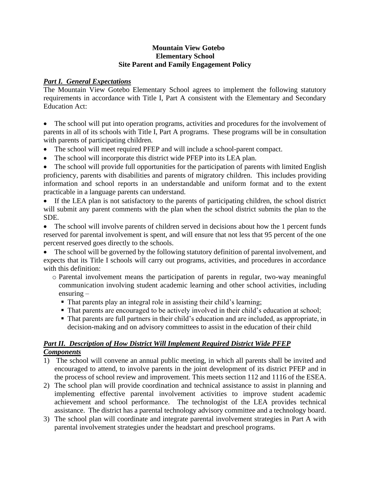#### **Mountain View Gotebo Elementary School Site Parent and Family Engagement Policy**

# *Part I. General Expectations*

The Mountain View Gotebo Elementary School agrees to implement the following statutory requirements in accordance with Title I, Part A consistent with the Elementary and Secondary Education Act:

The school will put into operation programs, activities and procedures for the involvement of parents in all of its schools with Title I, Part A programs. These programs will be in consultation with parents of participating children.

- The school will meet required PFEP and will include a school-parent compact.
- The school will incorporate this district wide PFEP into its LEA plan.

• The school will provide full opportunities for the participation of parents with limited English proficiency, parents with disabilities and parents of migratory children. This includes providing information and school reports in an understandable and uniform format and to the extent practicable in a language parents can understand.

• If the LEA plan is not satisfactory to the parents of participating children, the school district will submit any parent comments with the plan when the school district submits the plan to the SDE.

• The school will involve parents of children served in decisions about how the 1 percent funds reserved for parental involvement is spent, and will ensure that not less that 95 percent of the one percent reserved goes directly to the schools.

• The school will be governed by the following statutory definition of parental involvement, and expects that its Title I schools will carry out programs, activities, and procedures in accordance with this definition:

- o Parental involvement means the participation of parents in regular, two-way meaningful communication involving student academic learning and other school activities, including ensuring –
	- That parents play an integral role in assisting their child's learning;
	- That parents are encouraged to be actively involved in their child's education at school;
	- That parents are full partners in their child's education and are included, as appropriate, in decision-making and on advisory committees to assist in the education of their child

## *Part II. Description of How District Will Implement Required District Wide PFEP Components*

- 1) The school will convene an annual public meeting, in which all parents shall be invited and encouraged to attend, to involve parents in the joint development of its district PFEP and in the process of school review and improvement. This meets section 112 and 1116 of the ESEA.
- 2) The school plan will provide coordination and technical assistance to assist in planning and implementing effective parental involvement activities to improve student academic achievement and school performance. The technologist of the LEA provides technical assistance. The district has a parental technology advisory committee and a technology board.
- 3) The school plan will coordinate and integrate parental involvement strategies in Part A with parental involvement strategies under the headstart and preschool programs.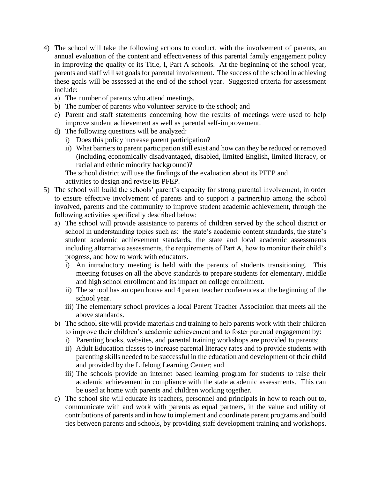- 4) The school will take the following actions to conduct, with the involvement of parents, an annual evaluation of the content and effectiveness of this parental family engagement policy in improving the quality of its Title, I, Part A schools. At the beginning of the school year, parents and staff will set goals for parental involvement. The success of the school in achieving these goals will be assessed at the end of the school year. Suggested criteria for assessment include:
	- a) The number of parents who attend meetings,
	- b) The number of parents who volunteer service to the school; and
	- c) Parent and staff statements concerning how the results of meetings were used to help improve student achievement as well as parental self-improvement.
	- d) The following questions will be analyzed:
		- i) Does this policy increase parent participation?
		- ii) What barriers to parent participation still exist and how can they be reduced or removed (including economically disadvantaged, disabled, limited English, limited literacy, or racial and ethnic minority background)?

The school district will use the findings of the evaluation about its PFEP and activities to design and revise its PFEP.

- 5) The school will build the schools' parent's capacity for strong parental involvement, in order to ensure effective involvement of parents and to support a partnership among the school involved, parents and the community to improve student academic achievement, through the following activities specifically described below:
	- a) The school will provide assistance to parents of children served by the school district or school in understanding topics such as: the state's academic content standards, the state's student academic achievement standards, the state and local academic assessments including alternative assessments, the requirements of Part A, how to monitor their child's progress, and how to work with educators.
		- i) An introductory meeting is held with the parents of students transitioning. This meeting focuses on all the above standards to prepare students for elementary, middle and high school enrollment and its impact on college enrollment.
		- ii) The school has an open house and 4 parent teacher conferences at the beginning of the school year.
		- iii) The elementary school provides a local Parent Teacher Association that meets all the above standards.
	- b) The school site will provide materials and training to help parents work with their children to improve their children's academic achievement and to foster parental engagement by:
		- i) Parenting books, websites, and parental training workshops are provided to parents;
		- ii) Adult Education classes to increase parental literacy rates and to provide students with parenting skills needed to be successful in the education and development of their child and provided by the Lifelong Learning Center; and
		- iii) The schools provide an internet based learning program for students to raise their academic achievement in compliance with the state academic assessments. This can be used at home with parents and children working together.
	- c) The school site will educate its teachers, personnel and principals in how to reach out to, communicate with and work with parents as equal partners, in the value and utility of contributions of parents and in how to implement and coordinate parent programs and build ties between parents and schools, by providing staff development training and workshops.